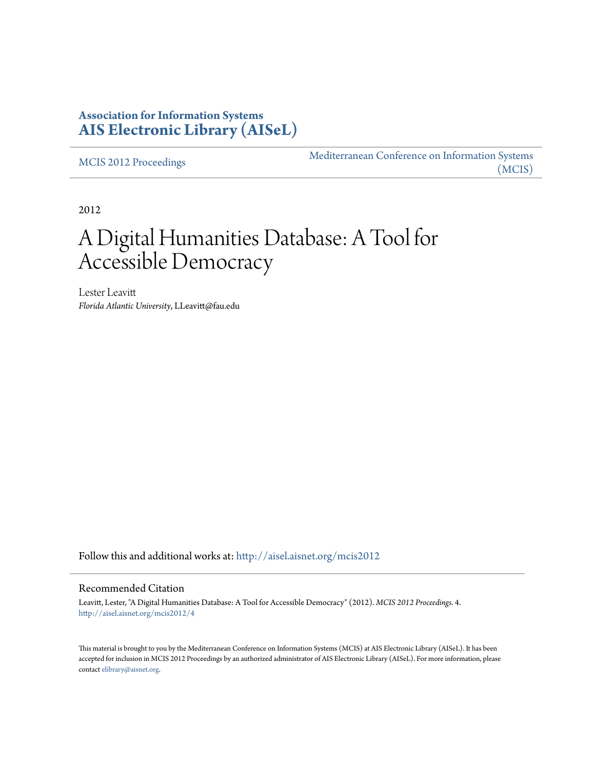## **Association for Information Systems [AIS Electronic Library \(AISeL\)](http://aisel.aisnet.org?utm_source=aisel.aisnet.org%2Fmcis2012%2F4&utm_medium=PDF&utm_campaign=PDFCoverPages)**

[MCIS 2012 Proceedings](http://aisel.aisnet.org/mcis2012?utm_source=aisel.aisnet.org%2Fmcis2012%2F4&utm_medium=PDF&utm_campaign=PDFCoverPages)

[Mediterranean Conference on Information Systems](http://aisel.aisnet.org/mcis?utm_source=aisel.aisnet.org%2Fmcis2012%2F4&utm_medium=PDF&utm_campaign=PDFCoverPages) [\(MCIS\)](http://aisel.aisnet.org/mcis?utm_source=aisel.aisnet.org%2Fmcis2012%2F4&utm_medium=PDF&utm_campaign=PDFCoverPages)

2012

# A Digital Humanities Database: A Tool for Accessible Democracy

Lester Leavitt *Florida Atlantic University*, LLeavitt@fau.edu

Follow this and additional works at: [http://aisel.aisnet.org/mcis2012](http://aisel.aisnet.org/mcis2012?utm_source=aisel.aisnet.org%2Fmcis2012%2F4&utm_medium=PDF&utm_campaign=PDFCoverPages)

#### Recommended Citation

Leavitt, Lester, "A Digital Humanities Database: A Tool for Accessible Democracy" (2012). *MCIS 2012 Proceedings*. 4. [http://aisel.aisnet.org/mcis2012/4](http://aisel.aisnet.org/mcis2012/4?utm_source=aisel.aisnet.org%2Fmcis2012%2F4&utm_medium=PDF&utm_campaign=PDFCoverPages)

This material is brought to you by the Mediterranean Conference on Information Systems (MCIS) at AIS Electronic Library (AISeL). It has been accepted for inclusion in MCIS 2012 Proceedings by an authorized administrator of AIS Electronic Library (AISeL). For more information, please contact [elibrary@aisnet.org.](mailto:elibrary@aisnet.org%3E)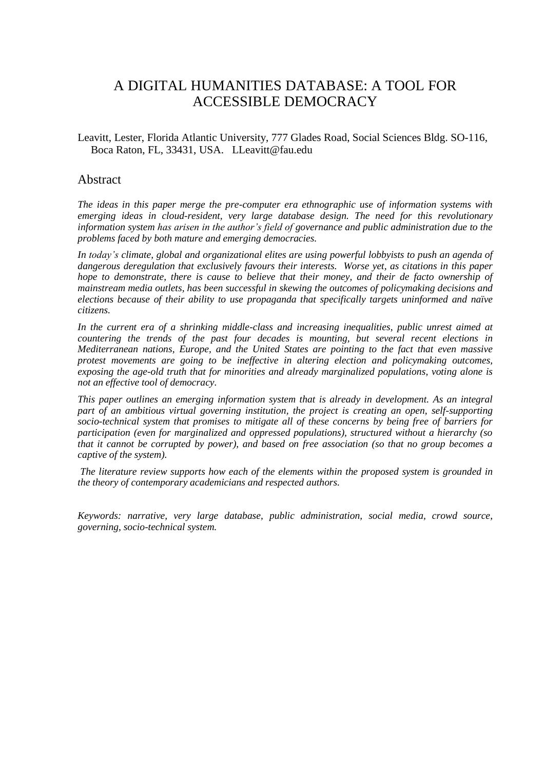# A DIGITAL HUMANITIES DATABASE: A TOOL FOR ACCESSIBLE DEMOCRACY

Leavitt, Lester, Florida Atlantic University, 777 Glades Road, Social Sciences Bldg. SO-116, Boca Raton, FL, 33431, USA. LLeavitt@fau.edu

#### Abstract

*The ideas in this paper merge the pre-computer era ethnographic use of information systems with emerging ideas in cloud-resident, very large database design. The need for this revolutionary information system has arisen in the author's field of governance and public administration due to the problems faced by both mature and emerging democracies.* 

*In today's climate, global and organizational elites are using powerful lobbyists to push an agenda of dangerous deregulation that exclusively favours their interests. Worse yet, as citations in this paper hope to demonstrate, there is cause to believe that their money, and their de facto ownership of mainstream media outlets, has been successful in skewing the outcomes of policymaking decisions and elections because of their ability to use propaganda that specifically targets uninformed and naïve citizens.* 

*In the current era of a shrinking middle-class and increasing inequalities, public unrest aimed at countering the trends of the past four decades is mounting, but several recent elections in Mediterranean nations, Europe, and the United States are pointing to the fact that even massive protest movements are going to be ineffective in altering election and policymaking outcomes, exposing the age-old truth that for minorities and already marginalized populations, voting alone is not an effective tool of democracy.*

*This paper outlines an emerging information system that is already in development. As an integral part of an ambitious virtual governing institution, the project is creating an open, self-supporting socio-technical system that promises to mitigate all of these concerns by being free of barriers for participation (even for marginalized and oppressed populations), structured without a hierarchy (so that it cannot be corrupted by power), and based on free association (so that no group becomes a captive of the system).*

*The literature review supports how each of the elements within the proposed system is grounded in the theory of contemporary academicians and respected authors.*

*Keywords: narrative, very large database, public administration, social media, crowd source, governing, socio-technical system.*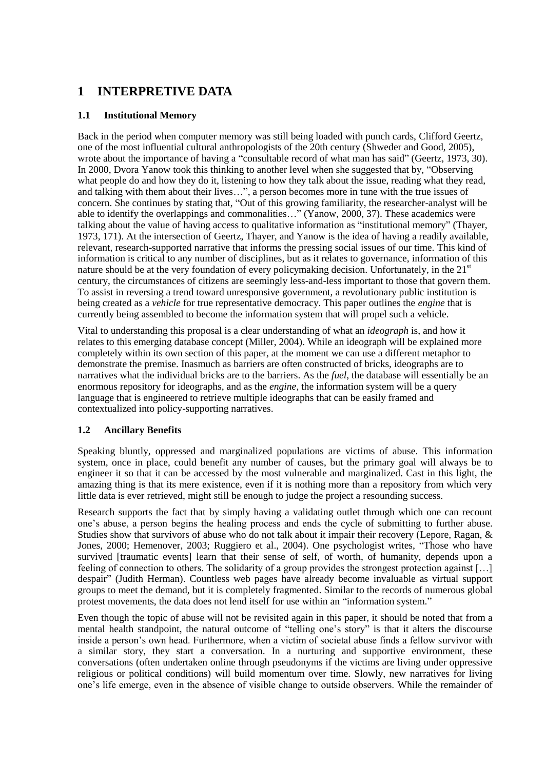# **1 INTERPRETIVE DATA**

#### **1.1 Institutional Memory**

Back in the period when computer memory was still being loaded with punch cards, Clifford Geertz, one of the most influential cultural anthropologists of the 20th century (Shweder and Good, 2005), wrote about the importance of having a "consultable record of what man has said" (Geertz, 1973, 30). In 2000, Dvora Yanow took this thinking to another level when she suggested that by, "Observing what people do and how they do it, listening to how they talk about the issue, reading what they read, and talking with them about their lives…", a person becomes more in tune with the true issues of concern. She continues by stating that, "Out of this growing familiarity, the researcher-analyst will be able to identify the overlappings and commonalities…" (Yanow, 2000, 37). These academics were talking about the value of having access to qualitative information as "institutional memory" (Thayer, 1973, 171). At the intersection of Geertz, Thayer, and Yanow is the idea of having a readily available, relevant, research-supported narrative that informs the pressing social issues of our time. This kind of information is critical to any number of disciplines, but as it relates to governance, information of this nature should be at the very foundation of every policymaking decision. Unfortunately, in the  $21<sup>st</sup>$ century, the circumstances of citizens are seemingly less-and-less important to those that govern them. To assist in reversing a trend toward unresponsive government, a revolutionary public institution is being created as a *vehicle* for true representative democracy. This paper outlines the *engine* that is currently being assembled to become the information system that will propel such a vehicle.

Vital to understanding this proposal is a clear understanding of what an *ideograph* is, and how it relates to this emerging database concept (Miller, 2004). While an ideograph will be explained more completely within its own section of this paper, at the moment we can use a different metaphor to demonstrate the premise. Inasmuch as barriers are often constructed of bricks, ideographs are to narratives what the individual bricks are to the barriers. As the *fuel*, the database will essentially be an enormous repository for ideographs, and as the *engine*, the information system will be a query language that is engineered to retrieve multiple ideographs that can be easily framed and contextualized into policy-supporting narratives.

#### **1.2 Ancillary Benefits**

Speaking bluntly, oppressed and marginalized populations are victims of abuse. This information system, once in place, could benefit any number of causes, but the primary goal will always be to engineer it so that it can be accessed by the most vulnerable and marginalized. Cast in this light, the amazing thing is that its mere existence, even if it is nothing more than a repository from which very little data is ever retrieved, might still be enough to judge the project a resounding success.

Research supports the fact that by simply having a validating outlet through which one can recount one's abuse, a person begins the healing process and ends the cycle of submitting to further abuse. Studies show that survivors of abuse who do not talk about it impair their recovery (Lepore, Ragan, & Jones, 2000; Hemenover, 2003; Ruggiero et al., 2004). One psychologist writes, "Those who have survived [traumatic events] learn that their sense of self, of worth, of humanity, depends upon a feeling of connection to others. The solidarity of a group provides the strongest protection against […] despair" (Judith Herman). Countless web pages have already become invaluable as virtual support groups to meet the demand, but it is completely fragmented. Similar to the records of numerous global protest movements, the data does not lend itself for use within an "information system."

Even though the topic of abuse will not be revisited again in this paper, it should be noted that from a mental health standpoint, the natural outcome of "telling one's story" is that it alters the discourse inside a person's own head. Furthermore, when a victim of societal abuse finds a fellow survivor with a similar story, they start a conversation. In a nurturing and supportive environment, these conversations (often undertaken online through pseudonyms if the victims are living under oppressive religious or political conditions) will build momentum over time. Slowly, new narratives for living one's life emerge, even in the absence of visible change to outside observers. While the remainder of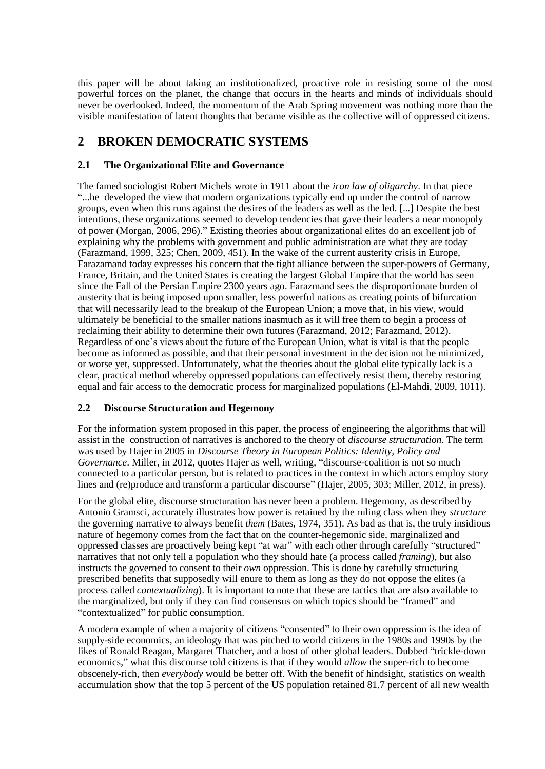this paper will be about taking an institutionalized, proactive role in resisting some of the most powerful forces on the planet, the change that occurs in the hearts and minds of individuals should never be overlooked. Indeed, the momentum of the Arab Spring movement was nothing more than the visible manifestation of latent thoughts that became visible as the collective will of oppressed citizens.

## **2 BROKEN DEMOCRATIC SYSTEMS**

#### **2.1 The Organizational Elite and Governance**

The famed sociologist Robert Michels wrote in 1911 about the *iron law of oligarchy*. In that piece "...he developed the view that modern organizations typically end up under the control of narrow groups, even when this runs against the desires of the leaders as well as the led. [...] Despite the best intentions, these organizations seemed to develop tendencies that gave their leaders a near monopoly of power (Morgan, 2006, 296)." Existing theories about organizational elites do an excellent job of explaining why the problems with government and public administration are what they are today (Farazmand, 1999, 325; Chen, 2009, 451). In the wake of the current austerity crisis in Europe, Farazamand today expresses his concern that the tight alliance between the super-powers of Germany, France, Britain, and the United States is creating the largest Global Empire that the world has seen since the Fall of the Persian Empire 2300 years ago. Farazmand sees the disproportionate burden of austerity that is being imposed upon smaller, less powerful nations as creating points of bifurcation that will necessarily lead to the breakup of the European Union; a move that, in his view, would ultimately be beneficial to the smaller nations inasmuch as it will free them to begin a process of reclaiming their ability to determine their own futures (Farazmand, 2012; Farazmand, 2012). Regardless of one's views about the future of the European Union, what is vital is that the people become as informed as possible, and that their personal investment in the decision not be minimized, or worse yet, suppressed. Unfortunately, what the theories about the global elite typically lack is a clear, practical method whereby oppressed populations can effectively resist them, thereby restoring equal and fair access to the democratic process for marginalized populations (El-Mahdi, 2009, 1011).

#### **2.2 Discourse Structuration and Hegemony**

For the information system proposed in this paper, the process of engineering the algorithms that will assist in the construction of narratives is anchored to the theory of *discourse structuration*. The term was used by Hajer in 2005 in *Discourse Theory in European Politics: Identity, Policy and Governance*. Miller, in 2012, quotes Hajer as well, writing, "discourse-coalition is not so much connected to a particular person, but is related to practices in the context in which actors employ story lines and (re)produce and transform a particular discourse" (Hajer, 2005, 303; Miller, 2012, in press).

For the global elite, discourse structuration has never been a problem. Hegemony, as described by Antonio Gramsci, accurately illustrates how power is retained by the ruling class when they *structure* the governing narrative to always benefit *them* (Bates, 1974, 351). As bad as that is, the truly insidious nature of hegemony comes from the fact that on the counter-hegemonic side, marginalized and oppressed classes are proactively being kept "at war" with each other through carefully "structured" narratives that not only tell a population who they should hate (a process called *framing*), but also instructs the governed to consent to their *own* oppression. This is done by carefully structuring prescribed benefits that supposedly will enure to them as long as they do not oppose the elites (a process called *contextualizing*). It is important to note that these are tactics that are also available to the marginalized, but only if they can find consensus on which topics should be "framed" and "contextualized" for public consumption.

A modern example of when a majority of citizens "consented" to their own oppression is the idea of supply-side economics, an ideology that was pitched to world citizens in the 1980s and 1990s by the likes of Ronald Reagan, Margaret Thatcher, and a host of other global leaders. Dubbed "trickle-down economics," what this discourse told citizens is that if they would *allow* the super-rich to become obscenely-rich, then *everybody* would be better off. With the benefit of hindsight, statistics on wealth accumulation show that the top 5 percent of the US population retained 81.7 percent of all new wealth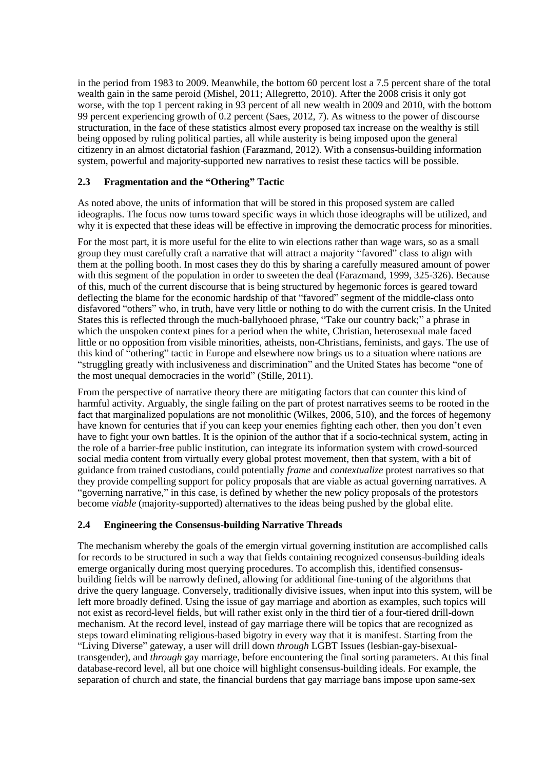in the period from 1983 to 2009. Meanwhile, the bottom 60 percent lost a 7.5 percent share of the total wealth gain in the same peroid (Mishel, 2011; Allegretto, 2010). After the 2008 crisis it only got worse, with the top 1 percent raking in 93 percent of all new wealth in 2009 and 2010, with the bottom 99 percent experiencing growth of 0.2 percent (Saes, 2012, 7). As witness to the power of discourse structuration, in the face of these statistics almost every proposed tax increase on the wealthy is still being opposed by ruling political parties, all while austerity is being imposed upon the general citizenry in an almost dictatorial fashion (Farazmand, 2012). With a consensus-building information system, powerful and majority-supported new narratives to resist these tactics will be possible.

#### **2.3 Fragmentation and the "Othering" Tactic**

As noted above, the units of information that will be stored in this proposed system are called ideographs. The focus now turns toward specific ways in which those ideographs will be utilized, and why it is expected that these ideas will be effective in improving the democratic process for minorities.

For the most part, it is more useful for the elite to win elections rather than wage wars, so as a small group they must carefully craft a narrative that will attract a majority "favored" class to align with them at the polling booth. In most cases they do this by sharing a carefully measured amount of power with this segment of the population in order to sweeten the deal (Farazmand, 1999, 325-326). Because of this, much of the current discourse that is being structured by hegemonic forces is geared toward deflecting the blame for the economic hardship of that "favored" segment of the middle-class onto disfavored "others" who, in truth, have very little or nothing to do with the current crisis. In the United States this is reflected through the much-ballyhooed phrase, "Take our country back;" a phrase in which the unspoken context pines for a period when the white, Christian, heterosexual male faced little or no opposition from visible minorities, atheists, non-Christians, feminists, and gays. The use of this kind of "othering" tactic in Europe and elsewhere now brings us to a situation where nations are "struggling greatly with inclusiveness and discrimination" and the United States has become "one of the most unequal democracies in the world" (Stille, 2011).

From the perspective of narrative theory there are mitigating factors that can counter this kind of harmful activity. Arguably, the single failing on the part of protest narratives seems to be rooted in the fact that marginalized populations are not monolithic (Wilkes, 2006, 510), and the forces of hegemony have known for centuries that if you can keep your enemies fighting each other, then you don't even have to fight your own battles. It is the opinion of the author that if a socio-technical system, acting in the role of a barrier-free public institution, can integrate its information system with crowd-sourced social media content from virtually every global protest movement, then that system, with a bit of guidance from trained custodians, could potentially *frame* and *contextualize* protest narratives so that they provide compelling support for policy proposals that are viable as actual governing narratives. A "governing narrative," in this case, is defined by whether the new policy proposals of the protestors become *viable* (majority-supported) alternatives to the ideas being pushed by the global elite.

#### **2.4 Engineering the Consensus-building Narrative Threads**

The mechanism whereby the goals of the emergin virtual governing institution are accomplished calls for records to be structured in such a way that fields containing recognized consensus-building ideals emerge organically during most querying procedures. To accomplish this, identified consensusbuilding fields will be narrowly defined, allowing for additional fine-tuning of the algorithms that drive the query language. Conversely, traditionally divisive issues, when input into this system, will be left more broadly defined. Using the issue of gay marriage and abortion as examples, such topics will not exist as record-level fields, but will rather exist only in the third tier of a four-tiered drill-down mechanism. At the record level, instead of gay marriage there will be topics that are recognized as steps toward eliminating religious-based bigotry in every way that it is manifest. Starting from the "Living Diverse" gateway, a user will drill down *through* LGBT Issues (lesbian-gay-bisexualtransgender), and *through* gay marriage, before encountering the final sorting parameters. At this final database-record level, all but one choice will highlight consensus-building ideals. For example, the separation of church and state, the financial burdens that gay marriage bans impose upon same-sex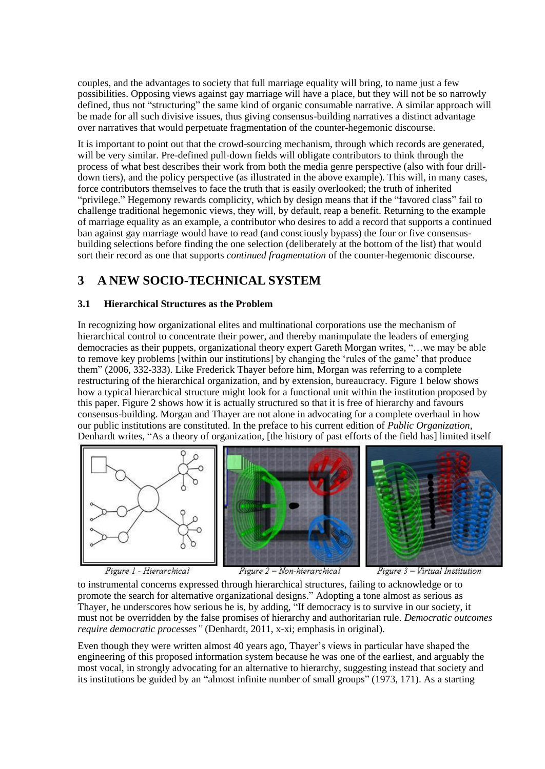couples, and the advantages to society that full marriage equality will bring, to name just a few possibilities. Opposing views against gay marriage will have a place, but they will not be so narrowly defined, thus not "structuring" the same kind of organic consumable narrative. A similar approach will be made for all such divisive issues, thus giving consensus-building narratives a distinct advantage over narratives that would perpetuate fragmentation of the counter-hegemonic discourse.

It is important to point out that the crowd-sourcing mechanism, through which records are generated, will be very similar. Pre-defined pull-down fields will obligate contributors to think through the process of what best describes their work from both the media genre perspective (also with four drilldown tiers), and the policy perspective (as illustrated in the above example). This will, in many cases, force contributors themselves to face the truth that is easily overlooked; the truth of inherited "privilege." Hegemony rewards complicity, which by design means that if the "favored class" fail to challenge traditional hegemonic views, they will, by default, reap a benefit. Returning to the example of marriage equality as an example, a contributor who desires to add a record that supports a continued ban against gay marriage would have to read (and consciously bypass) the four or five consensusbuilding selections before finding the one selection (deliberately at the bottom of the list) that would sort their record as one that supports *continued fragmentation* of the counter-hegemonic discourse.

## **3 A NEW SOCIO-TECHNICAL SYSTEM**

#### **3.1 Hierarchical Structures as the Problem**

In recognizing how organizational elites and multinational corporations use the mechanism of hierarchical control to concentrate their power, and thereby manimpulate the leaders of emerging democracies as their puppets, organizational theory expert Gareth Morgan writes, "…we may be able to remove key problems [within our institutions] by changing the 'rules of the game' that produce them" (2006, 332-333). Like Frederick Thayer before him, Morgan was referring to a complete restructuring of the hierarchical organization, and by extension, bureaucracy. Figure 1 below shows how a typical hierarchical structure might look for a functional unit within the institution proposed by this paper. Figure 2 shows how it is actually structured so that it is free of hierarchy and favours consensus-building. Morgan and Thayer are not alone in advocating for a complete overhaul in how our public institutions are constituted. In the preface to his current edition of *Public Organization*, Denhardt writes, "As a theory of organization, [the history of past efforts of the field has] limited itself



Figure 1 - Hierarchical

Figure 2 - Non-hierarchical

Figure 3 - Virtual Institution

to instrumental concerns expressed through hierarchical structures, failing to acknowledge or to promote the search for alternative organizational designs." Adopting a tone almost as serious as Thayer, he underscores how serious he is, by adding, "If democracy is to survive in our society, it must not be overridden by the false promises of hierarchy and authoritarian rule. *Democratic outcomes require democratic processes"* (Denhardt, 2011, x-xi; emphasis in original).

Even though they were written almost 40 years ago, Thayer's views in particular have shaped the engineering of this proposed information system because he was one of the earliest, and arguably the most vocal, in strongly advocating for an alternative to hierarchy, suggesting instead that society and its institutions be guided by an "almost infinite number of small groups" (1973, 171). As a starting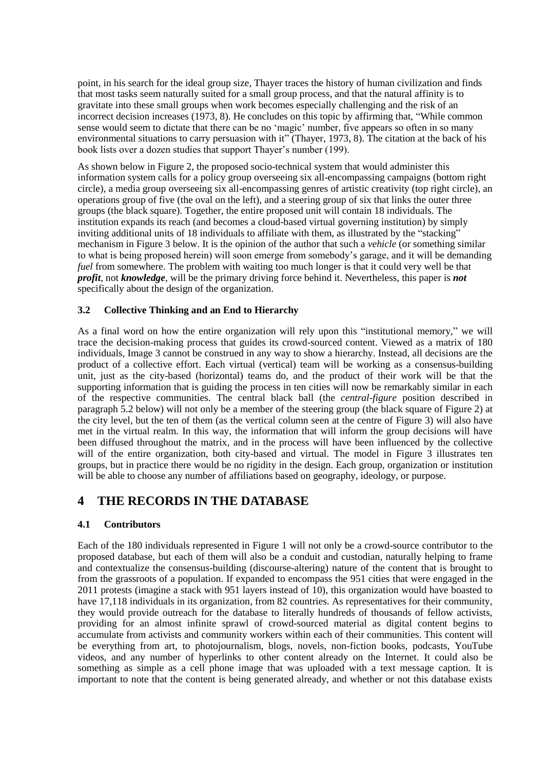point, in his search for the ideal group size, Thayer traces the history of human civilization and finds that most tasks seem naturally suited for a small group process, and that the natural affinity is to gravitate into these small groups when work becomes especially challenging and the risk of an incorrect decision increases (1973, 8). He concludes on this topic by affirming that, "While common sense would seem to dictate that there can be no 'magic' number, five appears so often in so many environmental situations to carry persuasion with it" (Thayer, 1973, 8). The citation at the back of his book lists over a dozen studies that support Thayer's number (199).

As shown below in Figure 2, the proposed socio-technical system that would administer this information system calls for a policy group overseeing six all-encompassing campaigns (bottom right circle), a media group overseeing six all-encompassing genres of artistic creativity (top right circle), an operations group of five (the oval on the left), and a steering group of six that links the outer three groups (the black square). Together, the entire proposed unit will contain 18 individuals. The institution expands its reach (and becomes a cloud-based virtual governing institution) by simply inviting additional units of 18 individuals to affiliate with them, as illustrated by the "stacking" mechanism in Figure 3 below. It is the opinion of the author that such a *vehicle* (or something similar to what is being proposed herein) will soon emerge from somebody's garage, and it will be demanding *fuel* from somewhere. The problem with waiting too much longer is that it could very well be that *profit*, not *knowledge*, will be the primary driving force behind it. Nevertheless, this paper is *not* specifically about the design of the organization.

#### **3.2 Collective Thinking and an End to Hierarchy**

As a final word on how the entire organization will rely upon this "institutional memory," we will trace the decision-making process that guides its crowd-sourced content. Viewed as a matrix of 180 individuals, Image 3 cannot be construed in any way to show a hierarchy. Instead, all decisions are the product of a collective effort. Each virtual (vertical) team will be working as a consensus-building unit, just as the city-based (horizontal) teams do, and the product of their work will be that the supporting information that is guiding the process in ten cities will now be remarkably similar in each of the respective communities. The central black ball (the *central-figure* position described in paragraph 5.2 below) will not only be a member of the steering group (the black square of Figure 2) at the city level, but the ten of them (as the vertical column seen at the centre of Figure 3) will also have met in the virtual realm. In this way, the information that will inform the group decisions will have been diffused throughout the matrix, and in the process will have been influenced by the collective will of the entire organization, both city-based and virtual. The model in Figure 3 illustrates ten groups, but in practice there would be no rigidity in the design. Each group, organization or institution will be able to choose any number of affiliations based on geography, ideology, or purpose.

## **4 THE RECORDS IN THE DATABASE**

#### **4.1 Contributors**

Each of the 180 individuals represented in Figure 1 will not only be a crowd-source contributor to the proposed database, but each of them will also be a conduit and custodian, naturally helping to frame and contextualize the consensus-building (discourse-altering) nature of the content that is brought to from the grassroots of a population. If expanded to encompass the 951 cities that were engaged in the 2011 protests (imagine a stack with 951 layers instead of 10), this organization would have boasted to have 17,118 individuals in its organization, from 82 countries. As representatives for their community, they would provide outreach for the database to literally hundreds of thousands of fellow activists, providing for an almost infinite sprawl of crowd-sourced material as digital content begins to accumulate from activists and community workers within each of their communities. This content will be everything from art, to photojournalism, blogs, novels, non-fiction books, podcasts, YouTube videos, and any number of hyperlinks to other content already on the Internet. It could also be something as simple as a cell phone image that was uploaded with a text message caption. It is important to note that the content is being generated already, and whether or not this database exists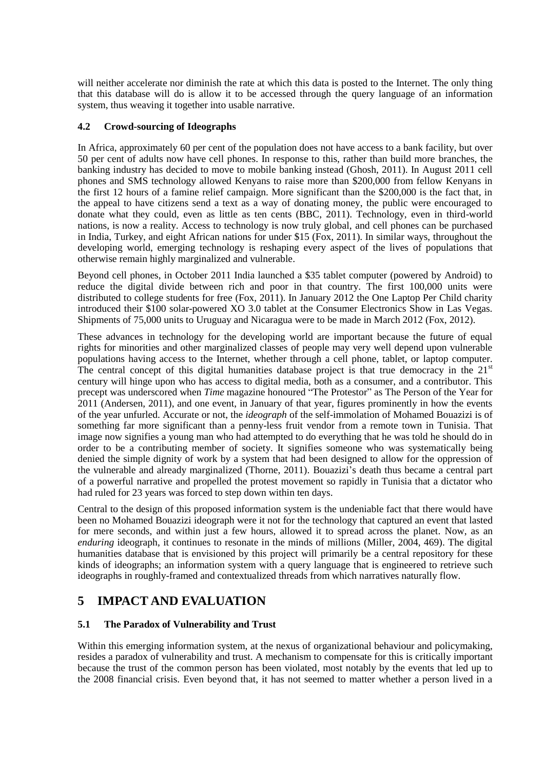will neither accelerate nor diminish the rate at which this data is posted to the Internet. The only thing that this database will do is allow it to be accessed through the query language of an information system, thus weaving it together into usable narrative.

#### **4.2 Crowd-sourcing of Ideographs**

In Africa, approximately 60 per cent of the population does not have access to a bank facility, but over 50 per cent of adults now have cell phones. In response to this, rather than build more branches, the banking industry has decided to move to mobile banking instead (Ghosh, 2011). In August 2011 cell phones and SMS technology allowed Kenyans to raise more than \$200,000 from fellow Kenyans in the first 12 hours of a famine relief campaign. More significant than the \$200,000 is the fact that, in the appeal to have citizens send a text as a way of donating money, the public were encouraged to donate what they could, even as little as ten cents (BBC, 2011). Technology, even in third-world nations, is now a reality. Access to technology is now truly global, and cell phones can be purchased in India, Turkey, and eight African nations for under \$15 (Fox, 2011). In similar ways, throughout the developing world, emerging technology is reshaping every aspect of the lives of populations that otherwise remain highly marginalized and vulnerable.

Beyond cell phones, in October 2011 India launched a \$35 tablet computer (powered by Android) to reduce the digital divide between rich and poor in that country. The first 100,000 units were distributed to college students for free (Fox, 2011). In January 2012 the One Laptop Per Child charity introduced their \$100 solar-powered XO 3.0 tablet at the Consumer Electronics Show in Las Vegas. Shipments of 75,000 units to Uruguay and Nicaragua were to be made in March 2012 (Fox, 2012).

These advances in technology for the developing world are important because the future of equal rights for minorities and other marginalized classes of people may very well depend upon vulnerable populations having access to the Internet, whether through a cell phone, tablet, or laptop computer. The central concept of this digital humanities database project is that true democracy in the  $21<sup>st</sup>$ century will hinge upon who has access to digital media, both as a consumer, and a contributor. This precept was underscored when *Time* magazine honoured "The Protestor" as The Person of the Year for 2011 (Andersen, 2011), and one event, in January of that year, figures prominently in how the events of the year unfurled. Accurate or not, the *ideograph* of the self-immolation of Mohamed Bouazizi is of something far more significant than a penny-less fruit vendor from a remote town in Tunisia. That image now signifies a young man who had attempted to do everything that he was told he should do in order to be a contributing member of society. It signifies someone who was systematically being denied the simple dignity of work by a system that had been designed to allow for the oppression of the vulnerable and already marginalized (Thorne, 2011). Bouazizi's death thus became a central part of a powerful narrative and propelled the protest movement so rapidly in Tunisia that a dictator who had ruled for 23 years was forced to step down within ten days.

Central to the design of this proposed information system is the undeniable fact that there would have been no Mohamed Bouazizi ideograph were it not for the technology that captured an event that lasted for mere seconds, and within just a few hours, allowed it to spread across the planet. Now, as an *enduring* ideograph, it continues to resonate in the minds of millions (Miller, 2004, 469). The digital humanities database that is envisioned by this project will primarily be a central repository for these kinds of ideographs; an information system with a query language that is engineered to retrieve such ideographs in roughly-framed and contextualized threads from which narratives naturally flow.

# **5 IMPACT AND EVALUATION**

#### **5.1 The Paradox of Vulnerability and Trust**

Within this emerging information system, at the nexus of organizational behaviour and policymaking, resides a paradox of vulnerability and trust. A mechanism to compensate for this is critically important because the trust of the common person has been violated, most notably by the events that led up to the 2008 financial crisis. Even beyond that, it has not seemed to matter whether a person lived in a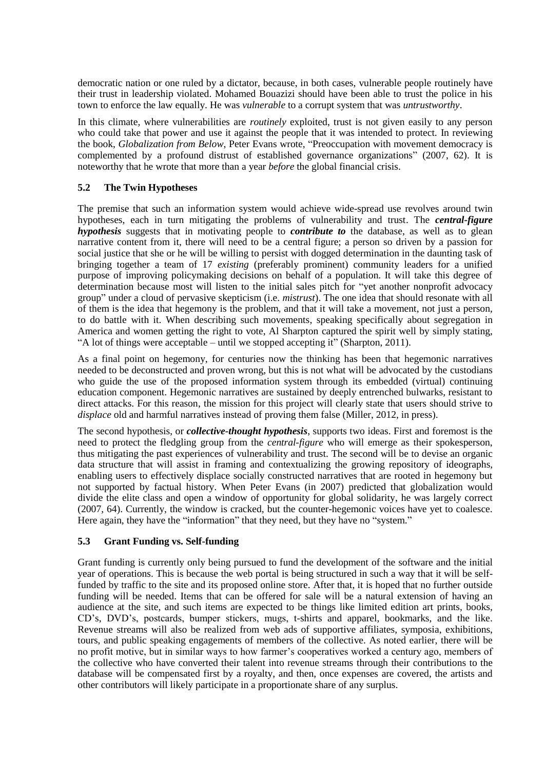democratic nation or one ruled by a dictator, because, in both cases, vulnerable people routinely have their trust in leadership violated. Mohamed Bouazizi should have been able to trust the police in his town to enforce the law equally. He was *vulnerable* to a corrupt system that was *untrustworthy*.

In this climate, where vulnerabilities are *routinely* exploited, trust is not given easily to any person who could take that power and use it against the people that it was intended to protect. In reviewing the book, *Globalization from Below*, Peter Evans wrote, "Preoccupation with movement democracy is complemented by a profound distrust of established governance organizations" (2007, 62). It is noteworthy that he wrote that more than a year *before* the global financial crisis.

#### **5.2 The Twin Hypotheses**

The premise that such an information system would achieve wide-spread use revolves around twin hypotheses, each in turn mitigating the problems of vulnerability and trust. The *central-figure hypothesis* suggests that in motivating people to *contribute to* the database, as well as to glean narrative content from it, there will need to be a central figure; a person so driven by a passion for social justice that she or he will be willing to persist with dogged determination in the daunting task of bringing together a team of 17 *existing* (preferably prominent) community leaders for a unified purpose of improving policymaking decisions on behalf of a population. It will take this degree of determination because most will listen to the initial sales pitch for "yet another nonprofit advocacy group" under a cloud of pervasive skepticism (i.e. *mistrust*). The one idea that should resonate with all of them is the idea that hegemony is the problem, and that it will take a movement, not just a person, to do battle with it. When describing such movements, speaking specifically about segregation in America and women getting the right to vote, Al Sharpton captured the spirit well by simply stating, "A lot of things were acceptable – until we stopped accepting it" (Sharpton, 2011).

As a final point on hegemony, for centuries now the thinking has been that hegemonic narratives needed to be deconstructed and proven wrong, but this is not what will be advocated by the custodians who guide the use of the proposed information system through its embedded (virtual) continuing education component. Hegemonic narratives are sustained by deeply entrenched bulwarks, resistant to direct attacks. For this reason, the mission for this project will clearly state that users should strive to *displace* old and harmful narratives instead of proving them false (Miller, 2012, in press).

The second hypothesis, or *collective-thought hypothesis*, supports two ideas. First and foremost is the need to protect the fledgling group from the *central-figure* who will emerge as their spokesperson, thus mitigating the past experiences of vulnerability and trust. The second will be to devise an organic data structure that will assist in framing and contextualizing the growing repository of ideographs, enabling users to effectively displace socially constructed narratives that are rooted in hegemony but not supported by factual history. When Peter Evans (in 2007) predicted that globalization would divide the elite class and open a window of opportunity for global solidarity, he was largely correct (2007, 64). Currently, the window is cracked, but the counter-hegemonic voices have yet to coalesce. Here again, they have the "information" that they need, but they have no "system."

#### **5.3 Grant Funding vs. Self-funding**

Grant funding is currently only being pursued to fund the development of the software and the initial year of operations. This is because the web portal is being structured in such a way that it will be selffunded by traffic to the site and its proposed online store. After that, it is hoped that no further outside funding will be needed. Items that can be offered for sale will be a natural extension of having an audience at the site, and such items are expected to be things like limited edition art prints, books, CD's, DVD's, postcards, bumper stickers, mugs, t-shirts and apparel, bookmarks, and the like. Revenue streams will also be realized from web ads of supportive affiliates, symposia, exhibitions, tours, and public speaking engagements of members of the collective. As noted earlier, there will be no profit motive, but in similar ways to how farmer's cooperatives worked a century ago, members of the collective who have converted their talent into revenue streams through their contributions to the database will be compensated first by a royalty, and then, once expenses are covered, the artists and other contributors will likely participate in a proportionate share of any surplus.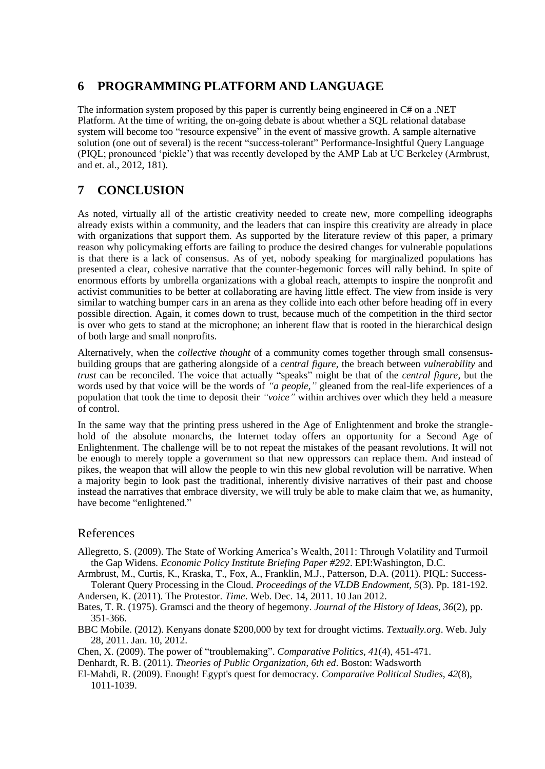## **6 PROGRAMMING PLATFORM AND LANGUAGE**

The information system proposed by this paper is currently being engineered in  $C#$  on a .NET Platform. At the time of writing, the on-going debate is about whether a SQL relational database system will become too "resource expensive" in the event of massive growth. A sample alternative solution (one out of several) is the recent "success-tolerant" Performance-Insightful Query Language (PIQL; pronounced 'pickle') that was recently developed by the AMP Lab at UC Berkeley (Armbrust, and et. al., 2012, 181).

# **7 CONCLUSION**

As noted, virtually all of the artistic creativity needed to create new, more compelling ideographs already exists within a community, and the leaders that can inspire this creativity are already in place with organizations that support them. As supported by the literature review of this paper, a primary reason why policymaking efforts are failing to produce the desired changes for vulnerable populations is that there is a lack of consensus. As of yet, nobody speaking for marginalized populations has presented a clear, cohesive narrative that the counter-hegemonic forces will rally behind. In spite of enormous efforts by umbrella organizations with a global reach, attempts to inspire the nonprofit and activist communities to be better at collaborating are having little effect. The view from inside is very similar to watching bumper cars in an arena as they collide into each other before heading off in every possible direction. Again, it comes down to trust, because much of the competition in the third sector is over who gets to stand at the microphone; an inherent flaw that is rooted in the hierarchical design of both large and small nonprofits.

Alternatively, when the *collective thought* of a community comes together through small consensusbuilding groups that are gathering alongside of a *central figure,* the breach between *vulnerability* and *trust* can be reconciled. The voice that actually "speaks" might be that of the *central figure*, but the words used by that voice will be the words of *"a people,"* gleaned from the real-life experiences of a population that took the time to deposit their *"voice"* within archives over which they held a measure of control.

In the same way that the printing press ushered in the Age of Enlightenment and broke the stranglehold of the absolute monarchs, the Internet today offers an opportunity for a Second Age of Enlightenment. The challenge will be to not repeat the mistakes of the peasant revolutions. It will not be enough to merely topple a government so that new oppressors can replace them. And instead of pikes, the weapon that will allow the people to win this new global revolution will be narrative. When a majority begin to look past the traditional, inherently divisive narratives of their past and choose instead the narratives that embrace diversity, we will truly be able to make claim that we, as humanity, have become "enlightened."

## References

Allegretto, S. (2009). The State of Working America's Wealth, 2011: Through Volatility and Turmoil the Gap Widens*. Economic Policy Institute Briefing Paper #292*. EPI:Washington, D.C.

Armbrust, M., Curtis, K., Kraska, T., Fox, A., Franklin, M.J., Patterson, D.A. (2011). PIQL: Success-Tolerant Query Processing in the Cloud. *Proceedings of the VLDB Endowment, 5*(3). Pp. 181-192.

Andersen, K. (2011). The Protestor. *Time*. Web. Dec. 14, 2011. 10 Jan 2012.

Bates, T. R. (1975). Gramsci and the theory of hegemony. *Journal of the History of Ideas, 36*(2), pp. 351-366.

BBC Mobile. (2012). Kenyans donate \$200,000 by text for drought victims. *Textually.org*. Web. July 28, 2011. Jan. 10, 2012.

Chen, X. (2009). The power of "troublemaking". *Comparative Politics, 41*(4), 451-471.

Denhardt, R. B. (2011). *Theories of Public Organization, 6th ed*. Boston: Wadsworth

El-Mahdi, R. (2009). Enough! Egypt's quest for democracy. *Comparative Political Studies, 42*(8), 1011-1039.